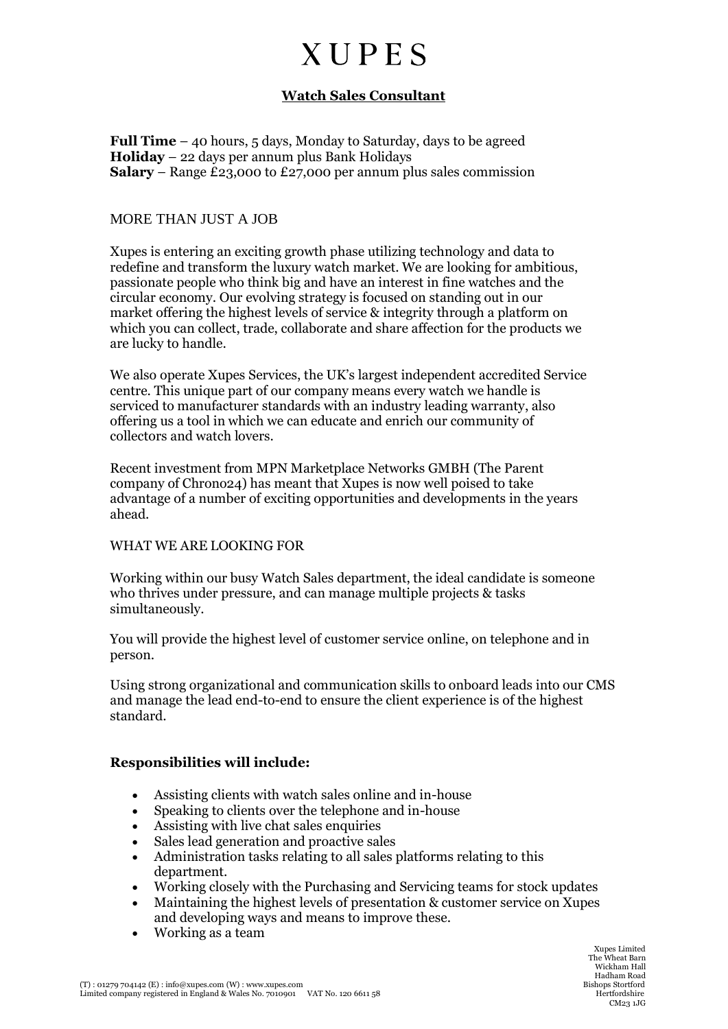## **XUPES**

### **Watch Sales Consultant**

**Full Time** – 40 hours, 5 days, Monday to Saturday, days to be agreed **Holiday** – 22 days per annum plus Bank Holidays **Salary** – Range £23,000 to £27,000 per annum plus sales commission

#### MORE THAN JUST A JOB

Xupes is entering an exciting growth phase utilizing technology and data to redefine and transform the luxury watch market. We are looking for ambitious, passionate people who think big and have an interest in fine watches and the circular economy. Our evolving strategy is focused on standing out in our market offering the highest levels of service & integrity through a platform on which you can collect, trade, collaborate and share affection for the products we are lucky to handle.

We also operate Xupes Services, the UK's largest independent accredited Service centre. This unique part of our company means every watch we handle is serviced to manufacturer standards with an industry leading warranty, also offering us a tool in which we can educate and enrich our community of collectors and watch lovers.

Recent investment from MPN Marketplace Networks GMBH (The Parent company of Chrono24) has meant that Xupes is now well poised to take advantage of a number of exciting opportunities and developments in the years ahead.

#### WHAT WE ARE LOOKING FOR

Working within our busy Watch Sales department, the ideal candidate is someone who thrives under pressure, and can manage multiple projects & tasks simultaneously.

You will provide the highest level of customer service online, on telephone and in person.

Using strong organizational and communication skills to onboard leads into our CMS and manage the lead end-to-end to ensure the client experience is of the highest standard.

#### **Responsibilities will include:**

- Assisting clients with watch sales online and in-house
- Speaking to clients over the telephone and in-house
- Assisting with live chat sales enquiries
- Sales lead generation and proactive sales
- Administration tasks relating to all sales platforms relating to this department.
- Working closely with the Purchasing and Servicing teams for stock updates
- Maintaining the highest levels of presentation & customer service on Xupes and developing ways and means to improve these.
- Working as a team